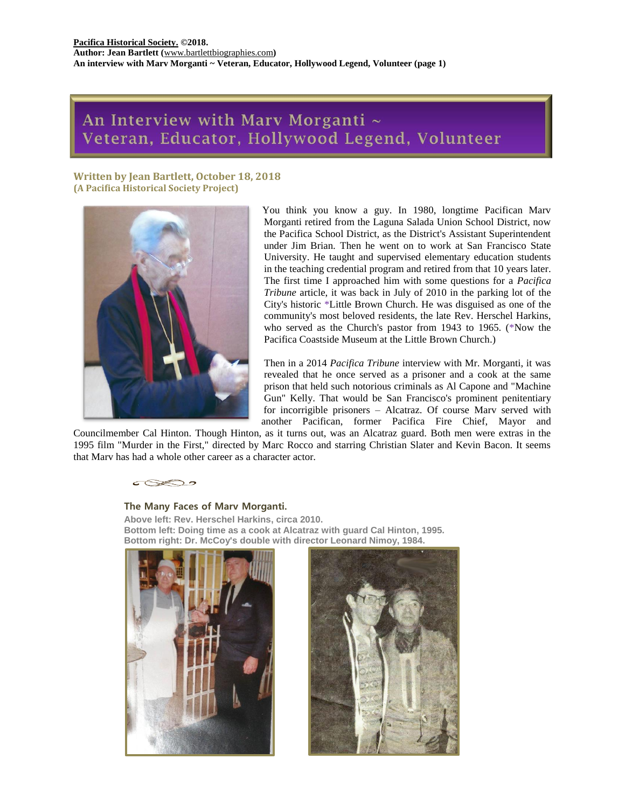# An Interview with Marv Morganti ~ Veteran, Educator, Hollywood Legend, Volunteer

**Written by Jean Bartlett, October 18, 2018 (A Pacifica Historical Society Project)**



You think you know a guy. In 1980, longtime Pacifican Marv Morganti retired from the Laguna Salada Union School District, now the Pacifica School District, as the District's Assistant Superintendent under Jim Brian. Then he went on to work at San Francisco State University. He taught and supervised elementary education students in the teaching credential program and retired from that 10 years later. The first time I approached him with some questions for a *Pacifica Tribune* article, it was back in July of 2010 in the parking lot of the City's historic \*Little Brown Church. He was disguised as one of the community's most beloved residents, the late Rev. Herschel Harkins, who served as the Church's pastor from 1943 to 1965. (\*Now the Pacifica Coastside Museum at the Little Brown Church.)

Then in a 2014 *Pacifica Tribune* interview with Mr. Morganti, it was revealed that he once served as a prisoner and a cook at the same prison that held such notorious criminals as Al Capone and "Machine Gun" Kelly. That would be San Francisco's prominent penitentiary for incorrigible prisoners – Alcatraz. Of course Marv served with another Pacifican, former Pacifica Fire Chief, Mayor and

Councilmember Cal Hinton. Though Hinton, as it turns out, was an Alcatraz guard. Both men were extras in the 1995 film "Murder in the First," directed by Marc Rocco and starring Christian Slater and Kevin Bacon. It seems that Marv has had a whole other career as a character actor.



# **The Many Faces of Marv Morganti.**

**Above left: Rev. Herschel Harkins, circa 2010. Bottom left: Doing time as a cook at Alcatraz with guard Cal Hinton, 1995. Bottom right: Dr. McCoy's double with director Leonard Nimoy, 1984.**



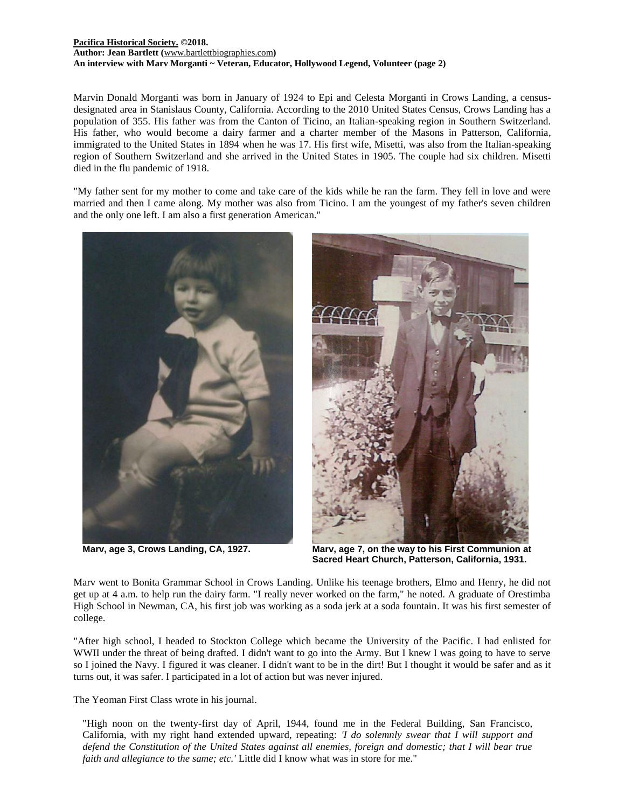#### **[Pacifica Historical Society.](http://pacificahistory.org/) ©2018. Author: Jean Bartlett (**[www.bartlettbiographies.com](http://www.bartlettbiographies.com/)**) An interview with Marv Morganti ~ Veteran, Educator, Hollywood Legend, Volunteer (page 2)**

Marvin Donald Morganti was born in January of 1924 to Epi and Celesta Morganti in Crows Landing, a censusdesignated area in Stanislaus County, California. According to the 2010 United States Census, Crows Landing has a population of 355. His father was from the Canton of Ticino, an Italian-speaking region in Southern Switzerland. His father, who would become a dairy farmer and a charter member of the Masons in Patterson, California, immigrated to the United States in 1894 when he was 17. His first wife, Misetti, was also from the Italian-speaking region of Southern Switzerland and she arrived in the United States in 1905. The couple had six children. Misetti died in the flu pandemic of 1918.

"My father sent for my mother to come and take care of the kids while he ran the farm. They fell in love and were married and then I came along. My mother was also from Ticino. I am the youngest of my father's seven children and the only one left. I am also a first generation American."



**Marv, age 3, Crows Landing, CA, 1927. Marv, age 7, on the way to his First Communion at Sacred Heart Church, Patterson, California, 1931.**

Marv went to Bonita Grammar School in Crows Landing. Unlike his teenage brothers, Elmo and Henry, he did not get up at 4 a.m. to help run the dairy farm. "I really never worked on the farm," he noted. A graduate of Orestimba High School in Newman, CA, his first job was working as a soda jerk at a soda fountain. It was his first semester of college.

"After high school, I headed to Stockton College which became the University of the Pacific. I had enlisted for WWII under the threat of being drafted. I didn't want to go into the Army. But I knew I was going to have to serve so I joined the Navy. I figured it was cleaner. I didn't want to be in the dirt! But I thought it would be safer and as it turns out, it was safer. I participated in a lot of action but was never injured.

The Yeoman First Class wrote in his journal.

"High noon on the twenty-first day of April, 1944, found me in the Federal Building, San Francisco, California, with my right hand extended upward, repeating: *'I do solemnly swear that I will support and defend the Constitution of the United States against all enemies, foreign and domestic; that I will bear true faith and allegiance to the same; etc.'* Little did I know what was in store for me."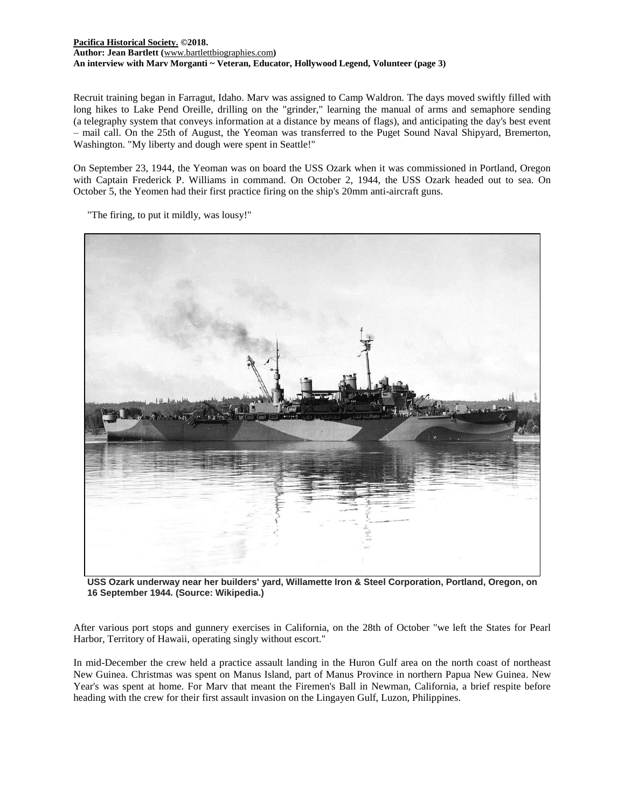# **[Pacifica Historical Society.](http://pacificahistory.org/) ©2018. Author: Jean Bartlett (**[www.bartlettbiographies.com](http://www.bartlettbiographies.com/)**) An interview with Marv Morganti ~ Veteran, Educator, Hollywood Legend, Volunteer (page 3)**

Recruit training began in Farragut, Idaho. Marv was assigned to Camp Waldron. The days moved swiftly filled with long hikes to Lake Pend Oreille, drilling on the "grinder," learning the manual of arms and semaphore sending (a telegraphy system that conveys information at a distance by means of flags), and anticipating the day's best event – mail call. On the 25th of August, the Yeoman was transferred to the Puget Sound Naval Shipyard, Bremerton, Washington. "My liberty and dough were spent in Seattle!"

On September 23, 1944, the Yeoman was on board the USS Ozark when it was commissioned in Portland, Oregon with Captain Frederick P. Williams in command. On October 2, 1944, the USS Ozark headed out to sea. On October 5, the Yeomen had their first practice firing on the ship's 20mm anti-aircraft guns.

"The firing, to put it mildly, was lousy!"



**USS Ozark underway near her builders' yard, Willamette Iron & Steel Corporation, Portland, Oregon, on 16 September 1944. (Source: Wikipedia.)**

After various port stops and gunnery exercises in California, on the 28th of October "we left the States for Pearl Harbor, Territory of Hawaii, operating singly without escort."

In mid-December the crew held a practice assault landing in the Huron Gulf area on the north coast of northeast New Guinea. Christmas was spent on Manus Island, part of Manus Province in northern Papua New Guinea. New Year's was spent at home. For Marv that meant the Firemen's Ball in Newman, California, a brief respite before heading with the crew for their first assault invasion on the Lingayen Gulf, Luzon, Philippines.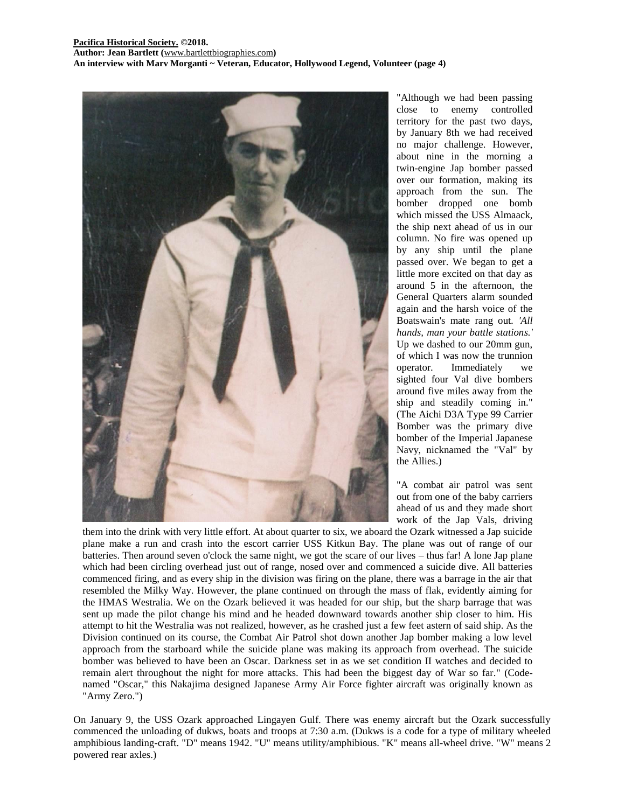

"Although we had been passing close to enemy controlled territory for the past two days, by January 8th we had received no major challenge. However, about nine in the morning a twin-engine Jap bomber passed over our formation, making its approach from the sun. The bomber dropped one bomb which missed the USS Almaack, the ship next ahead of us in our column. No fire was opened up by any ship until the plane passed over. We began to get a little more excited on that day as around 5 in the afternoon, the General Quarters alarm sounded again and the harsh voice of the Boatswain's mate rang out*. 'All hands, man your battle stations.'*  Up we dashed to our 20mm gun, of which I was now the trunnion operator. Immediately we sighted four Val dive bombers around five miles away from the ship and steadily coming in." (The Aichi D3A Type 99 Carrier Bomber was the primary dive bomber of the Imperial Japanese Navy, nicknamed the "Val" by the Allies.)

"A combat air patrol was sent out from one of the baby carriers ahead of us and they made short work of the Jap Vals, driving

them into the drink with very little effort. At about quarter to six, we aboard the Ozark witnessed a Jap suicide plane make a run and crash into the escort carrier USS Kitkun Bay. The plane was out of range of our batteries. Then around seven o'clock the same night, we got the scare of our lives – thus far! A lone Jap plane which had been circling overhead just out of range, nosed over and commenced a suicide dive. All batteries commenced firing, and as every ship in the division was firing on the plane, there was a barrage in the air that resembled the Milky Way. However, the plane continued on through the mass of flak, evidently aiming for the HMAS Westralia. We on the Ozark believed it was headed for our ship, but the sharp barrage that was sent up made the pilot change his mind and he headed downward towards another ship closer to him. His attempt to hit the Westralia was not realized, however, as he crashed just a few feet astern of said ship. As the Division continued on its course, the Combat Air Patrol shot down another Jap bomber making a low level approach from the starboard while the suicide plane was making its approach from overhead. The suicide bomber was believed to have been an Oscar. Darkness set in as we set condition II watches and decided to remain alert throughout the night for more attacks. This had been the biggest day of War so far." (Codenamed "Oscar," this Nakajima designed Japanese Army Air Force fighter aircraft was originally known as "Army Zero.")

On January 9, the USS Ozark approached Lingayen Gulf. There was enemy aircraft but the Ozark successfully commenced the unloading of dukws, boats and troops at 7:30 a.m. (Dukws is a code for a type of military wheeled amphibious landing-craft. "D" means 1942. "U" means utility/amphibious. "K" means all-wheel drive. "W" means 2 powered rear axles.)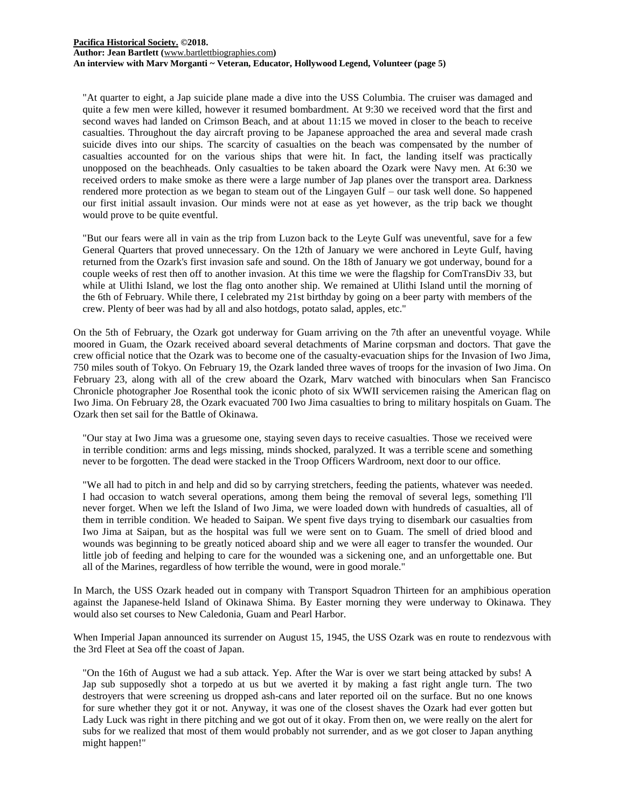#### **[Pacifica Historical Society.](http://pacificahistory.org/) ©2018. Author: Jean Bartlett (**[www.bartlettbiographies.com](http://www.bartlettbiographies.com/)**) An interview with Marv Morganti ~ Veteran, Educator, Hollywood Legend, Volunteer (page 5)**

"At quarter to eight, a Jap suicide plane made a dive into the USS Columbia. The cruiser was damaged and quite a few men were killed, however it resumed bombardment. At 9:30 we received word that the first and second waves had landed on Crimson Beach, and at about 11:15 we moved in closer to the beach to receive casualties. Throughout the day aircraft proving to be Japanese approached the area and several made crash suicide dives into our ships. The scarcity of casualties on the beach was compensated by the number of casualties accounted for on the various ships that were hit. In fact, the landing itself was practically unopposed on the beachheads. Only casualties to be taken aboard the Ozark were Navy men. At 6:30 we received orders to make smoke as there were a large number of Jap planes over the transport area. Darkness rendered more protection as we began to steam out of the Lingayen Gulf – our task well done. So happened our first initial assault invasion. Our minds were not at ease as yet however, as the trip back we thought would prove to be quite eventful.

"But our fears were all in vain as the trip from Luzon back to the Leyte Gulf was uneventful, save for a few General Quarters that proved unnecessary. On the 12th of January we were anchored in Leyte Gulf, having returned from the Ozark's first invasion safe and sound. On the 18th of January we got underway, bound for a couple weeks of rest then off to another invasion. At this time we were the flagship for ComTransDiv 33, but while at Ulithi Island, we lost the flag onto another ship. We remained at Ulithi Island until the morning of the 6th of February. While there, I celebrated my 21st birthday by going on a beer party with members of the crew. Plenty of beer was had by all and also hotdogs, potato salad, apples, etc."

On the 5th of February, the Ozark got underway for Guam arriving on the 7th after an uneventful voyage. While moored in Guam, the Ozark received aboard several detachments of Marine corpsman and doctors. That gave the crew official notice that the Ozark was to become one of the casualty-evacuation ships for the Invasion of Iwo Jima, 750 miles south of Tokyo. On February 19, the Ozark landed three waves of troops for the invasion of Iwo Jima. On February 23, along with all of the crew aboard the Ozark, Marv watched with binoculars when San Francisco Chronicle photographer Joe Rosenthal took the iconic photo of six WWII servicemen raising the American flag on Iwo Jima. On February 28, the Ozark evacuated 700 Iwo Jima casualties to bring to military hospitals on Guam. The Ozark then set sail for the Battle of Okinawa.

"Our stay at Iwo Jima was a gruesome one, staying seven days to receive casualties. Those we received were in terrible condition: arms and legs missing, minds shocked, paralyzed. It was a terrible scene and something never to be forgotten. The dead were stacked in the Troop Officers Wardroom, next door to our office.

"We all had to pitch in and help and did so by carrying stretchers, feeding the patients, whatever was needed. I had occasion to watch several operations, among them being the removal of several legs, something I'll never forget. When we left the Island of Iwo Jima, we were loaded down with hundreds of casualties, all of them in terrible condition. We headed to Saipan. We spent five days trying to disembark our casualties from Iwo Jima at Saipan, but as the hospital was full we were sent on to Guam. The smell of dried blood and wounds was beginning to be greatly noticed aboard ship and we were all eager to transfer the wounded. Our little job of feeding and helping to care for the wounded was a sickening one, and an unforgettable one. But all of the Marines, regardless of how terrible the wound, were in good morale."

In March, the USS Ozark headed out in company with Transport Squadron Thirteen for an amphibious operation against the Japanese-held Island of Okinawa Shima. By Easter morning they were underway to Okinawa. They would also set courses to New Caledonia, Guam and Pearl Harbor.

When Imperial Japan announced its surrender on August 15, 1945, the USS Ozark was en route to rendezvous with the 3rd Fleet at Sea off the coast of Japan.

"On the 16th of August we had a sub attack. Yep. After the War is over we start being attacked by subs! A Jap sub supposedly shot a torpedo at us but we averted it by making a fast right angle turn. The two destroyers that were screening us dropped ash-cans and later reported oil on the surface. But no one knows for sure whether they got it or not. Anyway, it was one of the closest shaves the Ozark had ever gotten but Lady Luck was right in there pitching and we got out of it okay. From then on, we were really on the alert for subs for we realized that most of them would probably not surrender, and as we got closer to Japan anything might happen!"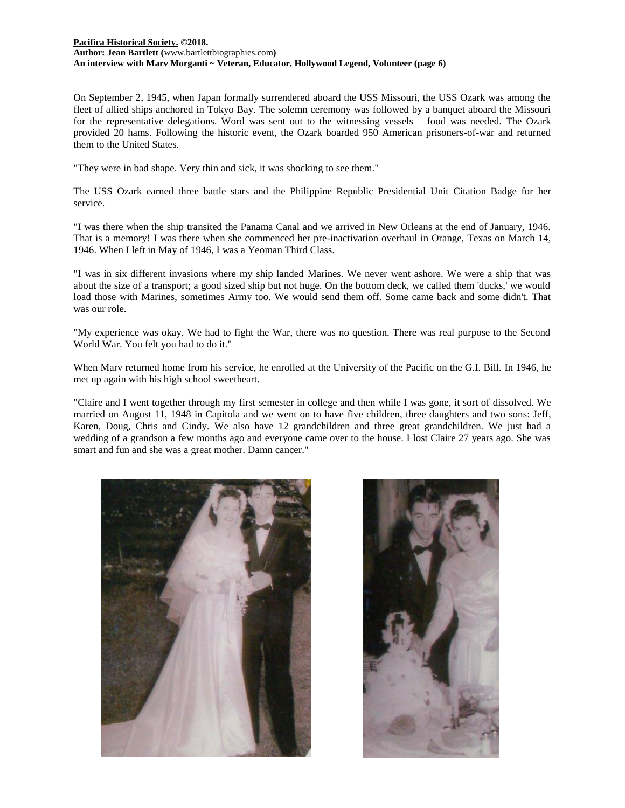# **[Pacifica Historical Society.](http://pacificahistory.org/) ©2018. Author: Jean Bartlett (**[www.bartlettbiographies.com](http://www.bartlettbiographies.com/)**) An interview with Marv Morganti ~ Veteran, Educator, Hollywood Legend, Volunteer (page 6)**

On September 2, 1945, when Japan formally surrendered aboard the USS Missouri, the USS Ozark was among the fleet of allied ships anchored in Tokyo Bay. The solemn ceremony was followed by a banquet aboard the Missouri for the representative delegations. Word was sent out to the witnessing vessels – food was needed. The Ozark provided 20 hams. Following the historic event, the Ozark boarded 950 American prisoners-of-war and returned them to the United States.

"They were in bad shape. Very thin and sick, it was shocking to see them."

The USS Ozark earned three battle stars and the Philippine Republic Presidential Unit Citation Badge for her service.

"I was there when the ship transited the Panama Canal and we arrived in New Orleans at the end of January, 1946. That is a memory! I was there when she commenced her pre-inactivation overhaul in Orange, Texas on March 14, 1946. When I left in May of 1946, I was a Yeoman Third Class.

"I was in six different invasions where my ship landed Marines. We never went ashore. We were a ship that was about the size of a transport; a good sized ship but not huge. On the bottom deck, we called them 'ducks,' we would load those with Marines, sometimes Army too. We would send them off. Some came back and some didn't. That was our role.

"My experience was okay. We had to fight the War, there was no question. There was real purpose to the Second World War. You felt you had to do it."

When Marv returned home from his service, he enrolled at the University of the Pacific on the G.I. Bill. In 1946, he met up again with his high school sweetheart.

"Claire and I went together through my first semester in college and then while I was gone, it sort of dissolved. We married on August 11, 1948 in Capitola and we went on to have five children, three daughters and two sons: Jeff, Karen, Doug, Chris and Cindy. We also have 12 grandchildren and three great grandchildren. We just had a wedding of a grandson a few months ago and everyone came over to the house. I lost Claire 27 years ago. She was smart and fun and she was a great mother. Damn cancer."



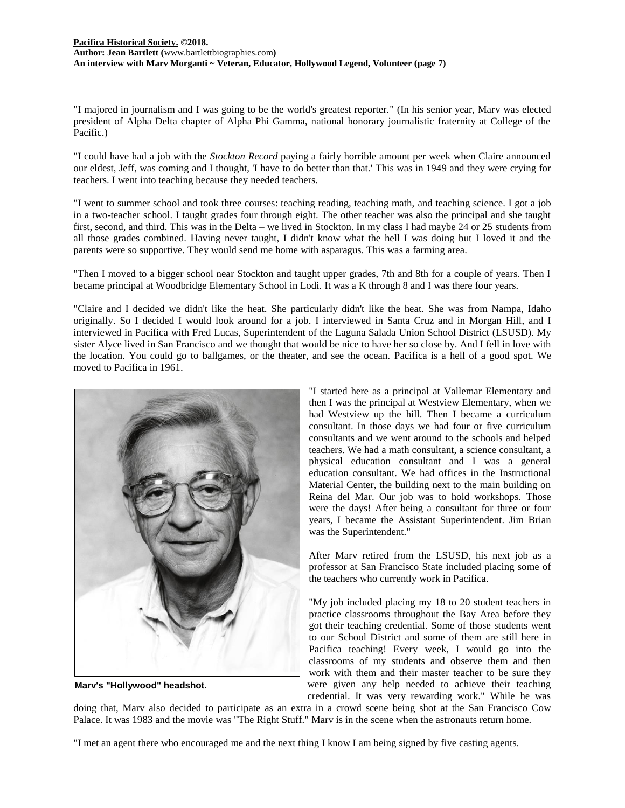# **[Pacifica Historical Society.](http://pacificahistory.org/) ©2018. Author: Jean Bartlett (**[www.bartlettbiographies.com](http://www.bartlettbiographies.com/)**) An interview with Marv Morganti ~ Veteran, Educator, Hollywood Legend, Volunteer (page 7)**

"I majored in journalism and I was going to be the world's greatest reporter." (In his senior year, Marv was elected president of Alpha Delta chapter of Alpha Phi Gamma, national honorary journalistic fraternity at College of the Pacific.)

"I could have had a job with the *Stockton Record* paying a fairly horrible amount per week when Claire announced our eldest, Jeff, was coming and I thought, 'I have to do better than that.' This was in 1949 and they were crying for teachers. I went into teaching because they needed teachers.

"I went to summer school and took three courses: teaching reading, teaching math, and teaching science. I got a job in a two-teacher school. I taught grades four through eight. The other teacher was also the principal and she taught first, second, and third. This was in the Delta – we lived in Stockton. In my class I had maybe 24 or 25 students from all those grades combined. Having never taught, I didn't know what the hell I was doing but I loved it and the parents were so supportive. They would send me home with asparagus. This was a farming area.

"Then I moved to a bigger school near Stockton and taught upper grades, 7th and 8th for a couple of years. Then I became principal at Woodbridge Elementary School in Lodi. It was a K through 8 and I was there four years.

"Claire and I decided we didn't like the heat. She particularly didn't like the heat. She was from Nampa, Idaho originally. So I decided I would look around for a job. I interviewed in Santa Cruz and in Morgan Hill, and I interviewed in Pacifica with Fred Lucas, Superintendent of the Laguna Salada Union School District (LSUSD). My sister Alyce lived in San Francisco and we thought that would be nice to have her so close by. And I fell in love with the location. You could go to ballgames, or the theater, and see the ocean. Pacifica is a hell of a good spot. We moved to Pacifica in 1961.



**Marv's "Hollywood" headshot.**

"I started here as a principal at Vallemar Elementary and then I was the principal at Westview Elementary, when we had Westview up the hill. Then I became a curriculum consultant. In those days we had four or five curriculum consultants and we went around to the schools and helped teachers. We had a math consultant, a science consultant, a physical education consultant and I was a general education consultant. We had offices in the Instructional Material Center, the building next to the main building on Reina del Mar. Our job was to hold workshops. Those were the days! After being a consultant for three or four years, I became the Assistant Superintendent. Jim Brian was the Superintendent."

After Marv retired from the LSUSD, his next job as a professor at San Francisco State included placing some of the teachers who currently work in Pacifica.

"My job included placing my 18 to 20 student teachers in practice classrooms throughout the Bay Area before they got their teaching credential. Some of those students went to our School District and some of them are still here in Pacifica teaching! Every week, I would go into the classrooms of my students and observe them and then work with them and their master teacher to be sure they were given any help needed to achieve their teaching credential. It was very rewarding work." While he was

doing that, Marv also decided to participate as an extra in a crowd scene being shot at the San Francisco Cow Palace. It was 1983 and the movie was "The Right Stuff." Marv is in the scene when the astronauts return home.

"I met an agent there who encouraged me and the next thing I know I am being signed by five casting agents.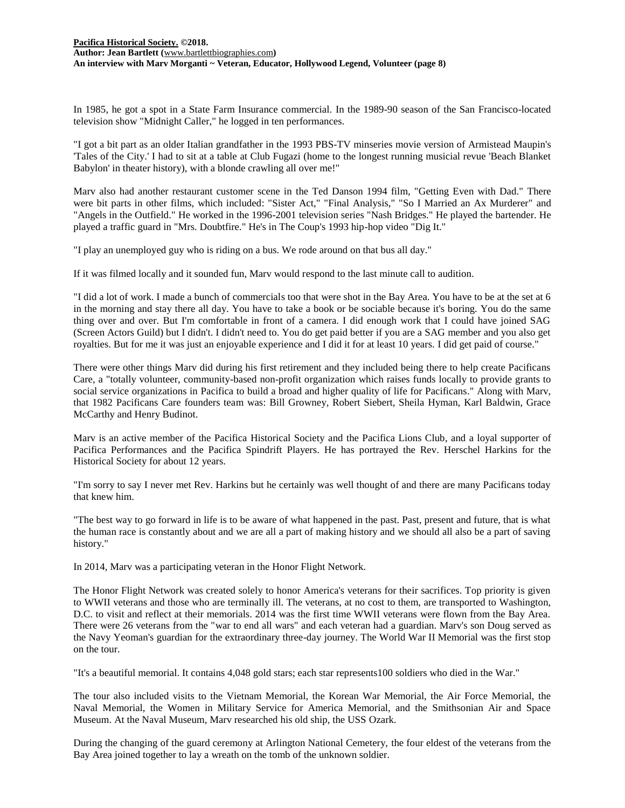In 1985, he got a spot in a State Farm Insurance commercial. In the 1989-90 season of the San Francisco-located television show "Midnight Caller," he logged in ten performances.

"I got a bit part as an older Italian grandfather in the 1993 PBS-TV minseries movie version of Armistead Maupin's 'Tales of the City.' I had to sit at a table at Club Fugazi (home to the longest running musicial revue 'Beach Blanket Babylon' in theater history), with a blonde crawling all over me!"

Marv also had another restaurant customer scene in the Ted Danson 1994 film, "Getting Even with Dad." There were bit parts in other films, which included: "Sister Act," "Final Analysis," "So I Married an Ax Murderer" and "Angels in the Outfield." He worked in the 1996-2001 television series "Nash Bridges." He played the bartender. He played a traffic guard in "Mrs. Doubtfire." He's in The Coup's 1993 hip-hop video "Dig It."

"I play an unemployed guy who is riding on a bus. We rode around on that bus all day."

If it was filmed locally and it sounded fun, Marv would respond to the last minute call to audition.

"I did a lot of work. I made a bunch of commercials too that were shot in the Bay Area. You have to be at the set at 6 in the morning and stay there all day. You have to take a book or be sociable because it's boring. You do the same thing over and over. But I'm comfortable in front of a camera. I did enough work that I could have joined SAG (Screen Actors Guild) but I didn't. I didn't need to. You do get paid better if you are a SAG member and you also get royalties. But for me it was just an enjoyable experience and I did it for at least 10 years. I did get paid of course."

There were other things Marv did during his first retirement and they included being there to help create Pacificans Care, a "totally volunteer, community-based non-profit organization which raises funds locally to provide grants to social service organizations in Pacifica to build a broad and higher quality of life for Pacificans." Along with Marv, that 1982 Pacificans Care founders team was: Bill Growney, Robert Siebert, Sheila Hyman, Karl Baldwin, Grace McCarthy and Henry Budinot.

Marv is an active member of the Pacifica Historical Society and the Pacifica Lions Club, and a loyal supporter of Pacifica Performances and the Pacifica Spindrift Players. He has portrayed the Rev. Herschel Harkins for the Historical Society for about 12 years.

"I'm sorry to say I never met Rev. Harkins but he certainly was well thought of and there are many Pacificans today that knew him.

"The best way to go forward in life is to be aware of what happened in the past. Past, present and future, that is what the human race is constantly about and we are all a part of making history and we should all also be a part of saving history."

In 2014, Marv was a participating veteran in the Honor Flight Network.

The Honor Flight Network was created solely to honor America's veterans for their sacrifices. Top priority is given to WWII veterans and those who are terminally ill. The veterans, at no cost to them, are transported to Washington, D.C. to visit and reflect at their memorials. 2014 was the first time WWII veterans were flown from the Bay Area. There were 26 veterans from the "war to end all wars" and each veteran had a guardian. Marv's son Doug served as the Navy Yeoman's guardian for the extraordinary three-day journey. The World War II Memorial was the first stop on the tour.

"It's a beautiful memorial. It contains 4,048 gold stars; each star represents100 soldiers who died in the War."

The tour also included visits to the Vietnam Memorial, the Korean War Memorial, the Air Force Memorial, the Naval Memorial, the Women in Military Service for America Memorial, and the Smithsonian Air and Space Museum. At the Naval Museum, Marv researched his old ship, the USS Ozark.

During the changing of the guard ceremony at Arlington National Cemetery, the four eldest of the veterans from the Bay Area joined together to lay a wreath on the tomb of the unknown soldier.